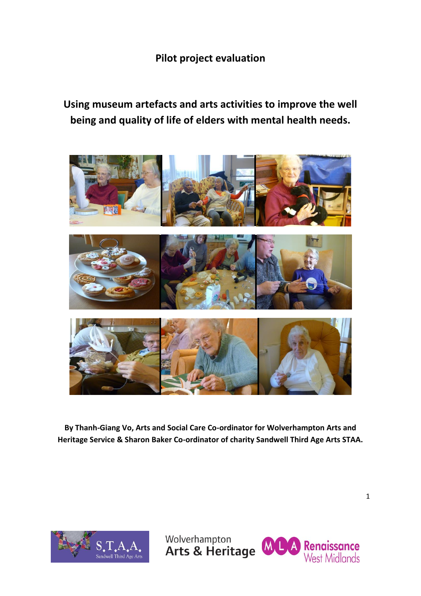## **Pilot project evaluation**

# **Using museum artefacts and arts activities to improve the well being and quality of life of elders with mental health needs.**



**By Thanh-Giang Vo, Arts and Social Care Co-ordinator for Wolverhampton Arts and Heritage Service & Sharon Baker Co-ordinator of charity Sandwell Third Age Arts STAA.**



Wolverhampton

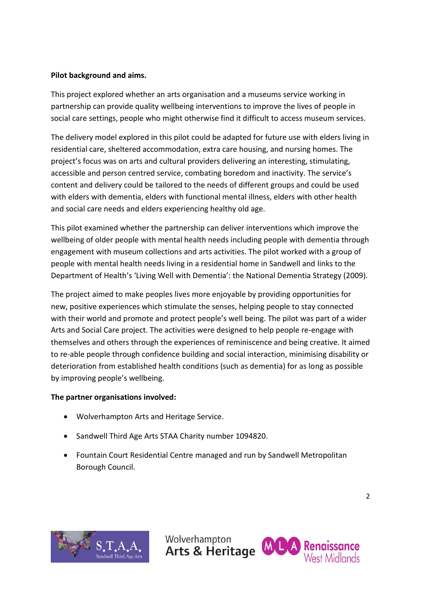## **Pilot background and aims.**

This project explored whether an arts organisation and a museums service working in partnership can provide quality wellbeing interventions to improve the lives of people in social care settings, people who might otherwise find it difficult to access museum services.

The delivery model explored in this pilot could be adapted for future use with elders living in residential care, sheltered accommodation, extra care housing, and nursing homes. The project's focus was on arts and cultural providers delivering an interesting, stimulating, accessible and person centred service, combating boredom and inactivity. The service's content and delivery could be tailored to the needs of different groups and could be used with elders with dementia, elders with functional mental illness, elders with other health and social care needs and elders experiencing healthy old age.

This pilot examined whether the partnership can deliver interventions which improve the wellbeing of older people with mental health needs including people with dementia through engagement with museum collections and arts activities. The pilot worked with a group of people with mental health needs living in a residential home in Sandwell and links to the Department of Health's 'Living Well with Dementia': the National Dementia Strategy (2009).

The project aimed to make peoples lives more enjoyable by providing opportunities for new, positive experiences which stimulate the senses, helping people to stay connected with their world and promote and protect people's well being. The pilot was part of a wider Arts and Social Care project. The activities were designed to help people re-engage with themselves and others through the experiences of reminiscence and being creative. It aimed to re-able people through confidence building and social interaction, minimising disability or deterioration from established health conditions (such as dementia) for as long as possible by improving people's wellbeing.

## **The partner organisations involved:**

- Wolverhampton Arts and Heritage Service.
- Sandwell Third Age Arts STAA Charity number 1094820.
- Fountain Court Residential Centre managed and run by Sandwell Metropolitan Borough Council.



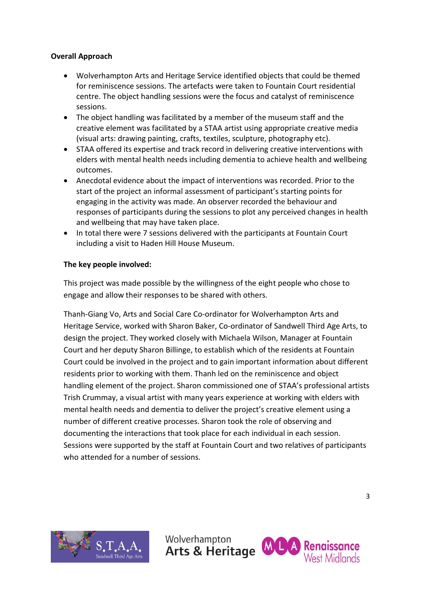## **Overall Approach**

- Wolverhampton Arts and Heritage Service identified objects that could be themed for reminiscence sessions. The artefacts were taken to Fountain Court residential centre. The object handling sessions were the focus and catalyst of reminiscence sessions.
- The object handling was facilitated by a member of the museum staff and the creative element was facilitated by a STAA artist using appropriate creative media (visual arts: drawing painting, crafts, textiles, sculpture, photography etc).
- STAA offered its expertise and track record in delivering creative interventions with elders with mental health needs including dementia to achieve health and wellbeing outcomes.
- Anecdotal evidence about the impact of interventions was recorded. Prior to the start of the project an informal assessment of participant's starting points for engaging in the activity was made. An observer recorded the behaviour and responses of participants during the sessions to plot any perceived changes in health and wellbeing that may have taken place.
- In total there were 7 sessions delivered with the participants at Fountain Court including a visit to Haden Hill House Museum.

#### **The key people involved:**

This project was made possible by the willingness of the eight people who chose to engage and allow their responses to be shared with others.

Thanh-Giang Vo, Arts and Social Care Co-ordinator for Wolverhampton Arts and Heritage Service, worked with Sharon Baker, Co-ordinator of Sandwell Third Age Arts, to design the project. They worked closely with Michaela Wilson, Manager at Fountain Court and her deputy Sharon Billinge, to establish which of the residents at Fountain Court could be involved in the project and to gain important information about different residents prior to working with them. Thanh led on the reminiscence and object handling element of the project. Sharon commissioned one of STAA's professional artists Trish Crummay, a visual artist with many years experience at working with elders with mental health needs and dementia to deliver the project's creative element using a number of different creative processes. Sharon took the role of observing and documenting the interactions that took place for each individual in each session. Sessions were supported by the staff at Fountain Court and two relatives of participants who attended for a number of sessions.



Wolverhampton

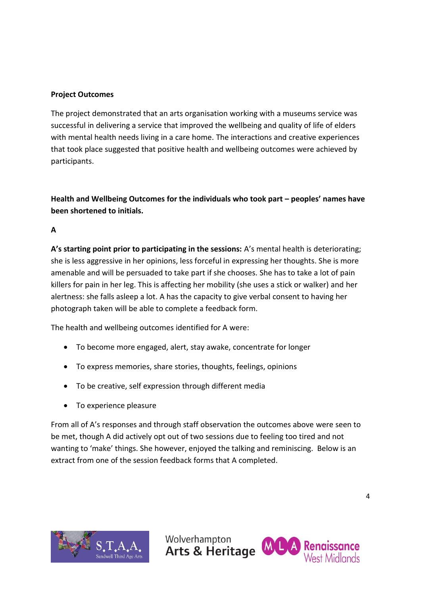## **Project Outcomes**

The project demonstrated that an arts organisation working with a museums service was successful in delivering a service that improved the wellbeing and quality of life of elders with mental health needs living in a care home. The interactions and creative experiences that took place suggested that positive health and wellbeing outcomes were achieved by participants.

**Health and Wellbeing Outcomes for the individuals who took part – peoples' names have been shortened to initials.**

**A**

**A's starting point prior to participating in the sessions:** A's mental health is deteriorating; she is less aggressive in her opinions, less forceful in expressing her thoughts. She is more amenable and will be persuaded to take part if she chooses. She has to take a lot of pain killers for pain in her leg. This is affecting her mobility (she uses a stick or walker) and her alertness: she falls asleep a lot. A has the capacity to give verbal consent to having her photograph taken will be able to complete a feedback form.

The health and wellbeing outcomes identified for A were:

- To become more engaged, alert, stay awake, concentrate for longer
- To express memories, share stories, thoughts, feelings, opinions
- To be creative, self expression through different media
- To experience pleasure

From all of A's responses and through staff observation the outcomes above were seen to be met, though A did actively opt out of two sessions due to feeling too tired and not wanting to 'make' things. She however, enjoyed the talking and reminiscing. Below is an extract from one of the session feedback forms that A completed.



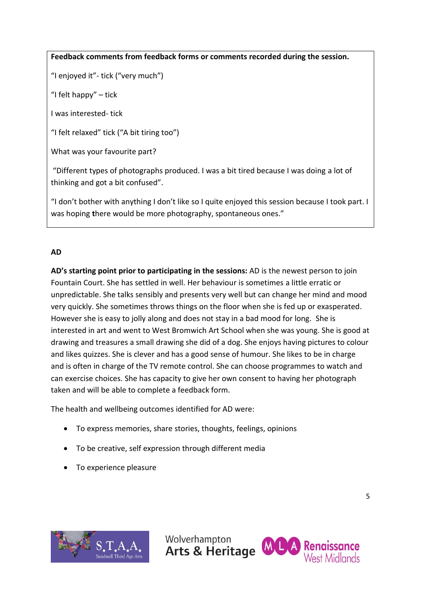## **Feedback comments from feedback forms or comments recorded during the session.**

"I enjoyed it"- tick ("very much")

"I felt happy" – tick

I was interested- tick

"I felt relaxed" tick ("A bit tiring too")

What was your favourite part?

"Different types of photographs produced. I was a bit tired because I was doing a lot of thinking and got a bit confused".

"I don't bother with anything I don't like so I quite enjoyed this session because I took part. I was hoping **t**here would be more photography, spontaneous ones."

## **AD**

**AD's starting point prior to participating in the sessions:** AD is the newest person to join Fountain Court. She has settled in well. Her behaviour is sometimes a little erratic or unpredictable. She talks sensibly and presents very well but can change her mind and mood very quickly. She sometimes throws things on the floor when she is fed up or exasperated. However she is easy to jolly along and does not stay in a bad mood for long. She is interested in art and went to West Bromwich Art School when she was young. She is good at drawing and treasures a small drawing she did of a dog. She enjoys having pictures to colour and likes quizzes. She is clever and has a good sense of humour. She likes to be in charge and is often in charge of the TV remote control. She can choose programmes to watch and can exercise choices. She has capacity to give her own consent to having her photograph taken and will be able to complete a feedback form.

The health and wellbeing outcomes identified for AD were:

- To express memories, share stories, thoughts, feelings, opinions
- To be creative, self expression through different media
- To experience pleasure



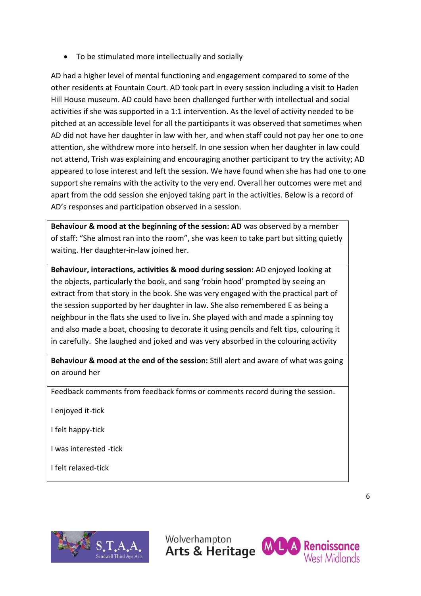To be stimulated more intellectually and socially

AD had a higher level of mental functioning and engagement compared to some of the other residents at Fountain Court. AD took part in every session including a visit to Haden Hill House museum. AD could have been challenged further with intellectual and social activities if she was supported in a 1:1 intervention. As the level of activity needed to be pitched at an accessible level for all the participants it was observed that sometimes when AD did not have her daughter in law with her, and when staff could not pay her one to one attention, she withdrew more into herself. In one session when her daughter in law could not attend, Trish was explaining and encouraging another participant to try the activity; AD appeared to lose interest and left the session. We have found when she has had one to one support she remains with the activity to the very end. Overall her outcomes were met and apart from the odd session she enjoyed taking part in the activities. Below is a record of AD's responses and participation observed in a session.

**Behaviour & mood at the beginning of the session: AD** was observed by a member of staff: "She almost ran into the room", she was keen to take part but sitting quietly waiting. Her daughter-in-law joined her.

**Behaviour, interactions, activities & mood during session:** AD enjoyed looking at the objects, particularly the book, and sang 'robin hood' prompted by seeing an extract from that story in the book. She was very engaged with the practical part of the session supported by her daughter in law. She also remembered E as being a neighbour in the flats she used to live in. She played with and made a spinning toy and also made a boat, choosing to decorate it using pencils and felt tips, colouring it in carefully. She laughed and joked and was very absorbed in the colouring activity

**Behaviour & mood at the end of the session:** Still alert and aware of what was going on around her

Feedback comments from feedback forms or comments record during the session.

I enjoyed it-tick

I felt happy-tick

I was interested -tick

I felt relaxed-tick



Wolverhampton

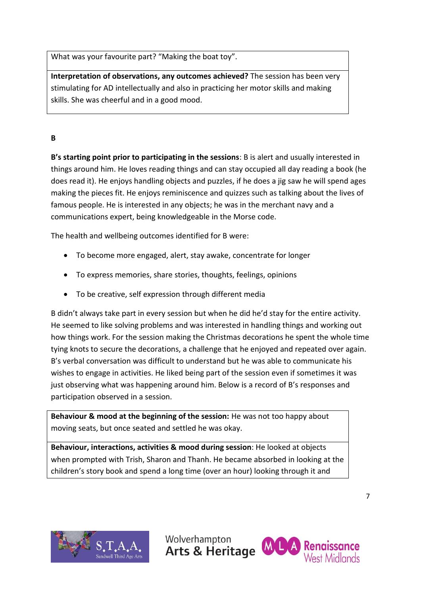What was your favourite part? "Making the boat toy".

**Interpretation of observations, any outcomes achieved?** The session has been very stimulating for AD intellectually and also in practicing her motor skills and making skills. She was cheerful and in a good mood.

## **B**

**B's starting point prior to participating in the sessions**: B is alert and usually interested in things around him. He loves reading things and can stay occupied all day reading a book (he does read it). He enjoys handling objects and puzzles, if he does a jig saw he will spend ages making the pieces fit. He enjoys reminiscence and quizzes such as talking about the lives of famous people. He is interested in any objects; he was in the merchant navy and a communications expert, being knowledgeable in the Morse code.

The health and wellbeing outcomes identified for B were:

- To become more engaged, alert, stay awake, concentrate for longer
- To express memories, share stories, thoughts, feelings, opinions
- To be creative, self expression through different media

B didn't always take part in every session but when he did he'd stay for the entire activity. He seemed to like solving problems and was interested in handling things and working out how things work. For the session making the Christmas decorations he spent the whole time tying knots to secure the decorations, a challenge that he enjoyed and repeated over again. B's verbal conversation was difficult to understand but he was able to communicate his wishes to engage in activities. He liked being part of the session even if sometimes it was just observing what was happening around him. Below is a record of B's responses and participation observed in a session.

**Behaviour & mood at the beginning of the session:** He was not too happy about moving seats, but once seated and settled he was okay.

**Behaviour, interactions, activities & mood during session**: He looked at objects when prompted with Trish, Sharon and Thanh. He became absorbed in looking at the children's story book and spend a long time (over an hour) looking through it and



Wolverhampton

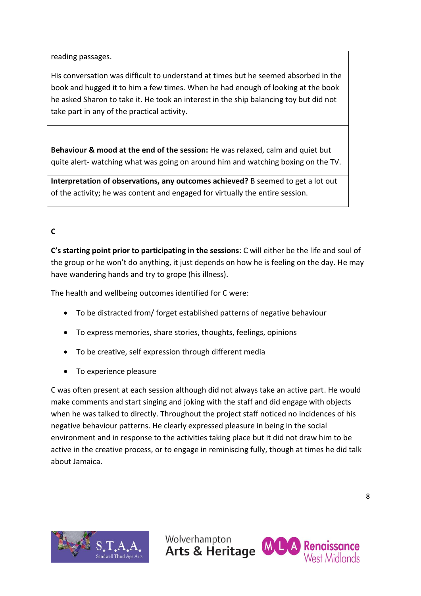reading passages.

His conversation was difficult to understand at times but he seemed absorbed in the book and hugged it to him a few times. When he had enough of looking at the book he asked Sharon to take it. He took an interest in the ship balancing toy but did not take part in any of the practical activity.

**Behaviour & mood at the end of the session:** He was relaxed, calm and quiet but quite alert- watching what was going on around him and watching boxing on the TV.

**Interpretation of observations, any outcomes achieved?** B seemed to get a lot out of the activity; he was content and engaged for virtually the entire session.

## **C**

**C's starting point prior to participating in the sessions**: C will either be the life and soul of the group or he won't do anything, it just depends on how he is feeling on the day. He may have wandering hands and try to grope (his illness).

The health and wellbeing outcomes identified for C were:

- To be distracted from/ forget established patterns of negative behaviour
- To express memories, share stories, thoughts, feelings, opinions
- To be creative, self expression through different media
- To experience pleasure

C was often present at each session although did not always take an active part. He would make comments and start singing and joking with the staff and did engage with objects when he was talked to directly. Throughout the project staff noticed no incidences of his negative behaviour patterns. He clearly expressed pleasure in being in the social environment and in response to the activities taking place but it did not draw him to be active in the creative process, or to engage in reminiscing fully, though at times he did talk about Jamaica.



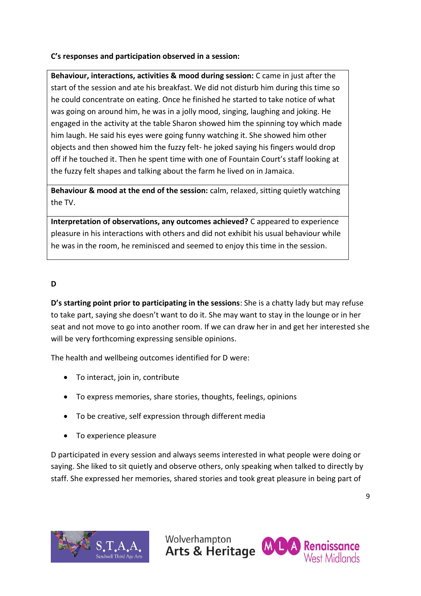## **C's responses and participation observed in a session:**

**Behaviour, interactions, activities & mood during session:** C came in just after the start of the session and ate his breakfast. We did not disturb him during this time so he could concentrate on eating. Once he finished he started to take notice of what was going on around him, he was in a jolly mood, singing, laughing and joking. He engaged in the activity at the table Sharon showed him the spinning toy which made him laugh. He said his eyes were going funny watching it. She showed him other objects and then showed him the fuzzy felt- he joked saying his fingers would drop off if he touched it. Then he spent time with one of Fountain Court's staff looking at the fuzzy felt shapes and talking about the farm he lived on in Jamaica.

**Behaviour & mood at the end of the session:** calm, relaxed, sitting quietly watching the TV.

**Interpretation of observations, any outcomes achieved?** C appeared to experience pleasure in his interactions with others and did not exhibit his usual behaviour while he was in the room, he reminisced and seemed to enjoy this time in the session.

## **D**

**D's starting point prior to participating in the sessions**: She is a chatty lady but may refuse to take part, saying she doesn't want to do it. She may want to stay in the lounge or in her seat and not move to go into another room. If we can draw her in and get her interested she will be very forthcoming expressing sensible opinions.

The health and wellbeing outcomes identified for D were:

- To interact, join in, contribute
- To express memories, share stories, thoughts, feelings, opinions
- To be creative, self expression through different media
- To experience pleasure

D participated in every session and always seems interested in what people were doing or saying. She liked to sit quietly and observe others, only speaking when talked to directly by staff. She expressed her memories, shared stories and took great pleasure in being part of



Wolverhampton

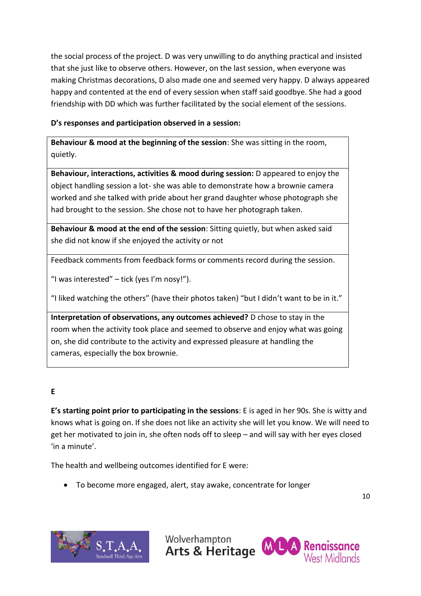the social process of the project. D was very unwilling to do anything practical and insisted that she just like to observe others. However, on the last session, when everyone was making Christmas decorations, D also made one and seemed very happy. D always appeared happy and contented at the end of every session when staff said goodbye. She had a good friendship with DD which was further facilitated by the social element of the sessions.

## **D's responses and participation observed in a session:**

**Behaviour & mood at the beginning of the session**: She was sitting in the room, quietly.

**Behaviour, interactions, activities & mood during session:** D appeared to enjoy the object handling session a lot- she was able to demonstrate how a brownie camera worked and she talked with pride about her grand daughter whose photograph she had brought to the session. She chose not to have her photograph taken.

**Behaviour & mood at the end of the session**: Sitting quietly, but when asked said she did not know if she enjoyed the activity or not

Feedback comments from feedback forms or comments record during the session.

"I was interested"  $-$  tick (yes I'm nosy!").

"I liked watching the others" (have their photos taken) "but I didn't want to be in it."

**Interpretation of observations, any outcomes achieved?** D chose to stay in the room when the activity took place and seemed to observe and enjoy what was going on, she did contribute to the activity and expressed pleasure at handling the cameras, especially the box brownie.

## **E**

**E's starting point prior to participating in the sessions**: E is aged in her 90s. She is witty and knows what is going on. If she does not like an activity she will let you know. We will need to get her motivated to join in, she often nods off to sleep – and will say with her eyes closed 'in a minute'.

The health and wellbeing outcomes identified for E were:

To become more engaged, alert, stay awake, concentrate for longer



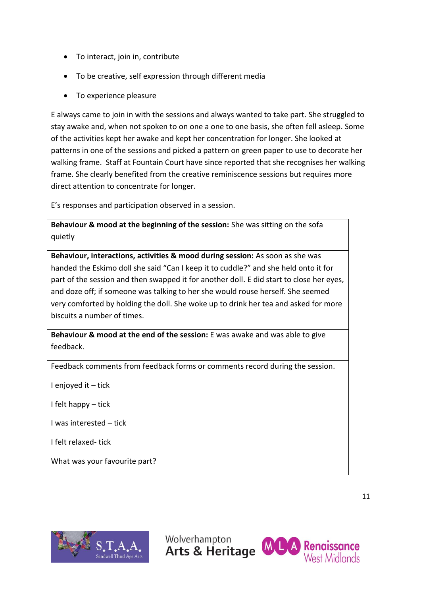- To interact, join in, contribute
- To be creative, self expression through different media
- To experience pleasure

E always came to join in with the sessions and always wanted to take part. She struggled to stay awake and, when not spoken to on one a one to one basis, she often fell asleep. Some of the activities kept her awake and kept her concentration for longer. She looked at patterns in one of the sessions and picked a pattern on green paper to use to decorate her walking frame. Staff at Fountain Court have since reported that she recognises her walking frame. She clearly benefited from the creative reminiscence sessions but requires more direct attention to concentrate for longer.

E's responses and participation observed in a session.

**Behaviour & mood at the beginning of the session:** She was sitting on the sofa quietly

**Behaviour, interactions, activities & mood during session:** As soon as she was handed the Eskimo doll she said "Can I keep it to cuddle?" and she held onto it for part of the session and then swapped it for another doll. E did start to close her eyes, and doze off; if someone was talking to her she would rouse herself. She seemed very comforted by holding the doll. She woke up to drink her tea and asked for more biscuits a number of times.

**Behaviour & mood at the end of the session:** E was awake and was able to give feedback.

Feedback comments from feedback forms or comments record during the session.

I enjoyed it – tick

I felt happy – tick

I was interested – tick

I felt relaxed- tick

What was your favourite part?



Wolverhampton

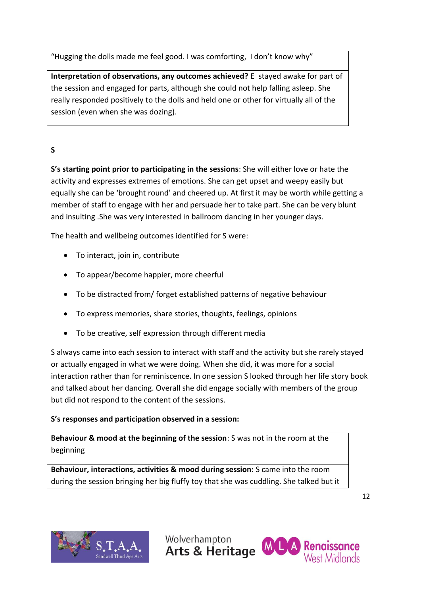"Hugging the dolls made me feel good. I was comforting, I don't know why"

**Interpretation of observations, any outcomes achieved?** E stayed awake for part of the session and engaged for parts, although she could not help falling asleep. She really responded positively to the dolls and held one or other for virtually all of the session (even when she was dozing).

## **S**

**S's starting point prior to participating in the sessions**: She will either love or hate the activity and expresses extremes of emotions. She can get upset and weepy easily but equally she can be 'brought round' and cheered up. At first it may be worth while getting a member of staff to engage with her and persuade her to take part. She can be very blunt and insulting .She was very interested in ballroom dancing in her younger days.

The health and wellbeing outcomes identified for S were:

- To interact, join in, contribute
- To appear/become happier, more cheerful
- To be distracted from/ forget established patterns of negative behaviour
- To express memories, share stories, thoughts, feelings, opinions
- To be creative, self expression through different media

S always came into each session to interact with staff and the activity but she rarely stayed or actually engaged in what we were doing. When she did, it was more for a social interaction rather than for reminiscence. In one session S looked through her life story book and talked about her dancing. Overall she did engage socially with members of the group but did not respond to the content of the sessions.

## **S's responses and participation observed in a session:**

**Behaviour & mood at the beginning of the session**: S was not in the room at the beginning

**Behaviour, interactions, activities & mood during session:** S came into the room during the session bringing her big fluffy toy that she was cuddling. She talked but it





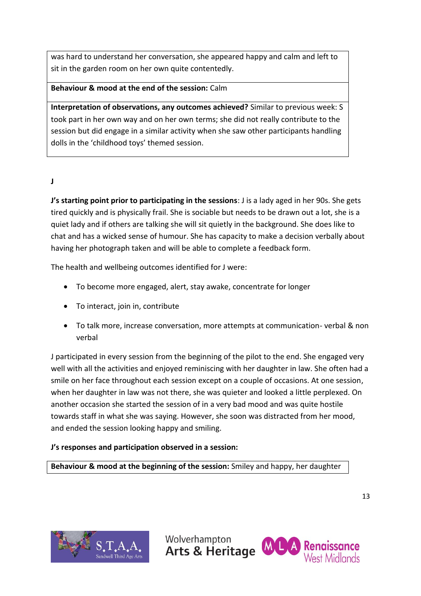was hard to understand her conversation, she appeared happy and calm and left to sit in the garden room on her own quite contentedly.

## **Behaviour & mood at the end of the session:** Calm

**Interpretation of observations, any outcomes achieved?** Similar to previous week: S took part in her own way and on her own terms; she did not really contribute to the session but did engage in a similar activity when she saw other participants handling dolls in the 'childhood toys' themed session.

## **J**

**J's starting point prior to participating in the sessions**: J is a lady aged in her 90s. She gets tired quickly and is physically frail. She is sociable but needs to be drawn out a lot, she is a quiet lady and if others are talking she will sit quietly in the background. She does like to chat and has a wicked sense of humour. She has capacity to make a decision verbally about having her photograph taken and will be able to complete a feedback form.

The health and wellbeing outcomes identified for J were:

- To become more engaged, alert, stay awake, concentrate for longer
- To interact, join in, contribute
- To talk more, increase conversation, more attempts at communication- verbal & non verbal

J participated in every session from the beginning of the pilot to the end. She engaged very well with all the activities and enjoyed reminiscing with her daughter in law. She often had a smile on her face throughout each session except on a couple of occasions. At one session, when her daughter in law was not there, she was quieter and looked a little perplexed. On another occasion she started the session of in a very bad mood and was quite hostile towards staff in what she was saying. However, she soon was distracted from her mood, and ended the session looking happy and smiling.

## **J's responses and participation observed in a session:**

**Behaviour & mood at the beginning of the session:** Smiley and happy, her daughter





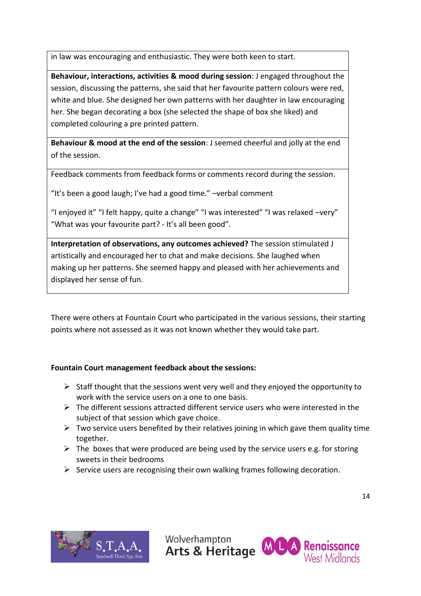in law was encouraging and enthusiastic. They were both keen to start.

**Behaviour, interactions, activities & mood during session**: J engaged throughout the session, discussing the patterns, she said that her favourite pattern colours were red, white and blue. She designed her own patterns with her daughter in law encouraging her. She began decorating a box (she selected the shape of box she liked) and completed colouring a pre printed pattern.

**Behaviour & mood at the end of the session**: J seemed cheerful and jolly at the end of the session.

Feedback comments from feedback forms or comments record during the session.

"It's been a good laugh; I've had a good time." –verbal comment

"I enjoyed it" "I felt happy, quite a change" "I was interested" "I was relaxed –very" "What was your favourite part? - It's all been good".

**Interpretation of observations, any outcomes achieved?** The session stimulated J artistically and encouraged her to chat and make decisions. She laughed when making up her patterns. She seemed happy and pleased with her achievements and displayed her sense of fun.

There were others at Fountain Court who participated in the various sessions, their starting points where not assessed as it was not known whether they would take part.

## **Fountain Court management feedback about the sessions:**

- $\triangleright$  Staff thought that the sessions went very well and they enjoyed the opportunity to work with the service users on a one to one basis.
- $\triangleright$  The different sessions attracted different service users who were interested in the subject of that session which gave choice.
- $\triangleright$  Two service users benefited by their relatives joining in which gave them quality time together.
- $\triangleright$  The boxes that were produced are being used by the service users e.g. for storing sweets in their bedrooms
- $\triangleright$  Service users are recognising their own walking frames following decoration.



Wolverhampton

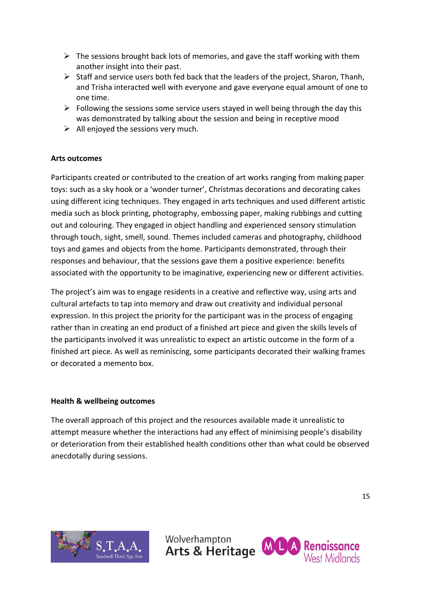- $\triangleright$  The sessions brought back lots of memories, and gave the staff working with them another insight into their past.
- $\triangleright$  Staff and service users both fed back that the leaders of the project. Sharon, Thanh, and Trisha interacted well with everyone and gave everyone equal amount of one to one time.
- $\triangleright$  Following the sessions some service users stayed in well being through the day this was demonstrated by talking about the session and being in receptive mood
- $\triangleright$  All enjoyed the sessions very much.

## **Arts outcomes**

Participants created or contributed to the creation of art works ranging from making paper toys: such as a sky hook or a 'wonder turner', Christmas decorations and decorating cakes using different icing techniques. They engaged in arts techniques and used different artistic media such as block printing, photography, embossing paper, making rubbings and cutting out and colouring. They engaged in object handling and experienced sensory stimulation through touch, sight, smell, sound. Themes included cameras and photography, childhood toys and games and objects from the home. Participants demonstrated, through their responses and behaviour, that the sessions gave them a positive experience: benefits associated with the opportunity to be imaginative, experiencing new or different activities.

The project's aim was to engage residents in a creative and reflective way, using arts and cultural artefacts to tap into memory and draw out creativity and individual personal expression. In this project the priority for the participant was in the process of engaging rather than in creating an end product of a finished art piece and given the skills levels of the participants involved it was unrealistic to expect an artistic outcome in the form of a finished art piece. As well as reminiscing, some participants decorated their walking frames or decorated a memento box.

## **Health & wellbeing outcomes**

The overall approach of this project and the resources available made it unrealistic to attempt measure whether the interactions had any effect of minimising people's disability or deterioration from their established health conditions other than what could be observed anecdotally during sessions.



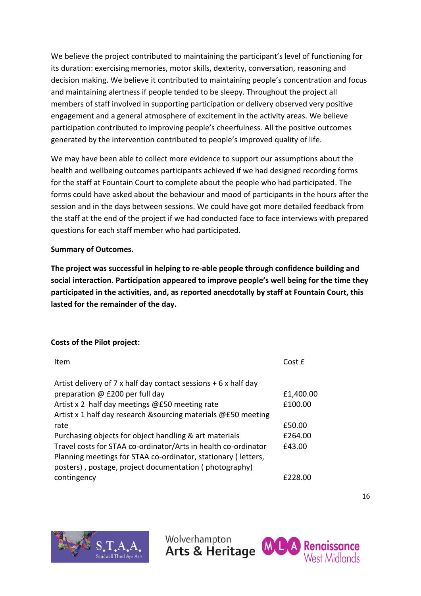We believe the project contributed to maintaining the participant's level of functioning for its duration: exercising memories, motor skills, dexterity, conversation, reasoning and decision making. We believe it contributed to maintaining people's concentration and focus and maintaining alertness if people tended to be sleepy. Throughout the project all members of staff involved in supporting participation or delivery observed very positive engagement and a general atmosphere of excitement in the activity areas. We believe participation contributed to improving people's cheerfulness. All the positive outcomes generated by the intervention contributed to people's improved quality of life.

We may have been able to collect more evidence to support our assumptions about the health and wellbeing outcomes participants achieved if we had designed recording forms for the staff at Fountain Court to complete about the people who had participated. The forms could have asked about the behaviour and mood of participants in the hours after the session and in the days between sessions. We could have got more detailed feedback from the staff at the end of the project if we had conducted face to face interviews with prepared questions for each staff member who had participated.

## **Summary of Outcomes.**

**The project was successful in helping to re-able people through confidence building and social interaction. Participation appeared to improve people's well being for the time they participated in the activities, and, as reported anecdotally by staff at Fountain Court, this lasted for the remainder of the day.**

## **Costs of the Pilot project:**

| Item                                                             | CostF     |
|------------------------------------------------------------------|-----------|
| Artist delivery of 7 x half day contact sessions $+ 6x$ half day |           |
| preparation @ £200 per full day                                  | £1,400.00 |
| Artist x 2 half day meetings @£50 meeting rate                   | £100.00   |
| Artist x 1 half day research & sourcing materials @£50 meeting   |           |
| rate                                                             | £50.00    |
| Purchasing objects for object handling & art materials           | £264.00   |
| Travel costs for STAA co-ordinator/Arts in health co-ordinator   | £43.00    |
| Planning meetings for STAA co-ordinator, stationary (letters,    |           |
| posters), postage, project documentation (photography)           |           |
| contingency                                                      | £228.00   |